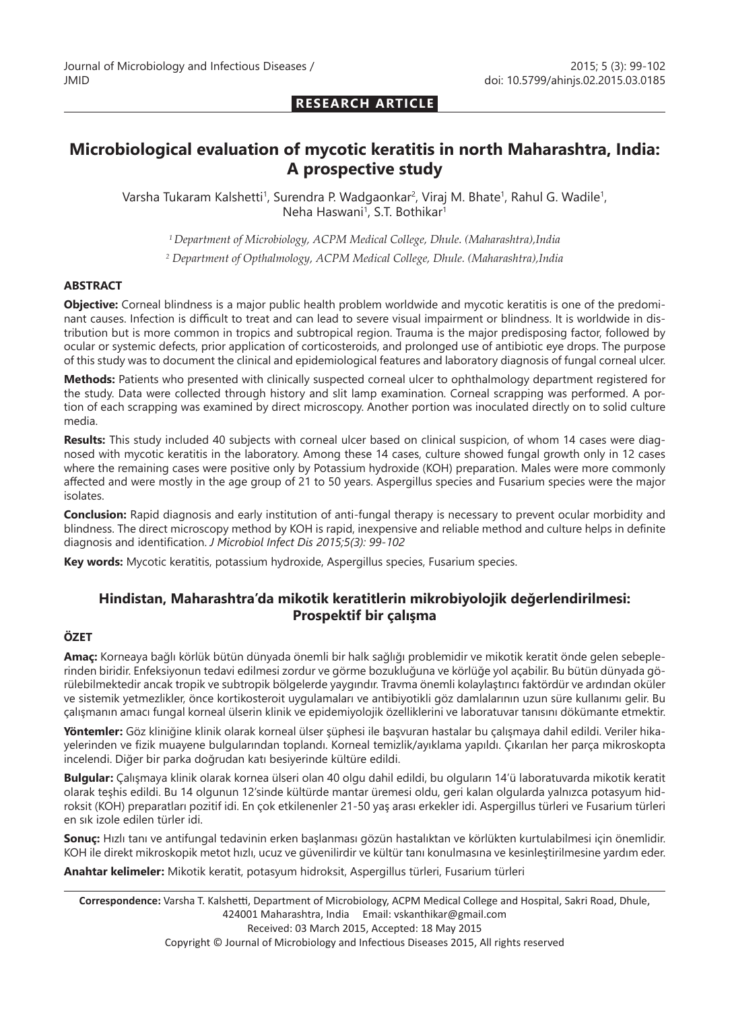### **RESEARCH ARTICLE**

# **Microbiological evaluation of mycotic keratitis in north Maharashtra, India: A prospective study**

Varsha Tukaram Kalshetti<sup>1</sup>, Surendra P. Wadgaonkar<sup>2</sup>, Viraj M. Bhate<sup>1</sup>, Rahul G. Wadile<sup>1</sup>, Neha Haswani<sup>1</sup>, S.T. Bothikar<sup>1</sup>

*1 Department of Microbiology, ACPM Medical College, Dhule. (Maharashtra),India*

*2 Department of Opthalmology, ACPM Medical College, Dhule. (Maharashtra),India*

#### **ABSTRACT**

**Objective:** Corneal blindness is a major public health problem worldwide and mycotic keratitis is one of the predominant causes. Infection is difficult to treat and can lead to severe visual impairment or blindness. It is worldwide in distribution but is more common in tropics and subtropical region. Trauma is the major predisposing factor, followed by ocular or systemic defects, prior application of corticosteroids, and prolonged use of antibiotic eye drops. The purpose of this study was to document the clinical and epidemiological features and laboratory diagnosis of fungal corneal ulcer.

**Methods:** Patients who presented with clinically suspected corneal ulcer to ophthalmology department registered for the study. Data were collected through history and slit lamp examination. Corneal scrapping was performed. A portion of each scrapping was examined by direct microscopy. Another portion was inoculated directly on to solid culture media.

**Results:** This study included 40 subjects with corneal ulcer based on clinical suspicion, of whom 14 cases were diagnosed with mycotic keratitis in the laboratory. Among these 14 cases, culture showed fungal growth only in 12 cases where the remaining cases were positive only by Potassium hydroxide (KOH) preparation. Males were more commonly affected and were mostly in the age group of 21 to 50 years. Aspergillus species and Fusarium species were the major isolates.

**Conclusion:** Rapid diagnosis and early institution of anti-fungal therapy is necessary to prevent ocular morbidity and blindness. The direct microscopy method by KOH is rapid, inexpensive and reliable method and culture helps in definite diagnosis and identification. *J Microbiol Infect Dis 2015;5(3): 99-102*

**Key words:** Mycotic keratitis, potassium hydroxide, Aspergillus species, Fusarium species.

# **Hindistan, Maharashtra'da mikotik keratitlerin mikrobiyolojik değerlendirilmesi: Prospektif bir çalışma**

#### **ÖZET**

**Amaç:** Korneaya bağlı körlük bütün dünyada önemli bir halk sağlığı problemidir ve mikotik keratit önde gelen sebeplerinden biridir. Enfeksiyonun tedavi edilmesi zordur ve görme bozukluğuna ve körlüğe yol açabilir. Bu bütün dünyada görülebilmektedir ancak tropik ve subtropik bölgelerde yaygındır. Travma önemli kolaylaştırıcı faktördür ve ardından oküler ve sistemik yetmezlikler, önce kortikosteroit uygulamaları ve antibiyotikli göz damlalarının uzun süre kullanımı gelir. Bu çalışmanın amacı fungal korneal ülserin klinik ve epidemiyolojik özelliklerini ve laboratuvar tanısını dökümante etmektir.

**Yöntemler:** Göz kliniğine klinik olarak korneal ülser şüphesi ile başvuran hastalar bu çalışmaya dahil edildi. Veriler hikayelerinden ve fizik muayene bulgularından toplandı. Korneal temizlik/ayıklama yapıldı. Çıkarılan her parça mikroskopta incelendi. Diğer bir parka doğrudan katı besiyerinde kültüre edildi.

**Bulgular:** Çalışmaya klinik olarak kornea ülseri olan 40 olgu dahil edildi, bu olguların 14'ü laboratuvarda mikotik keratit olarak teşhis edildi. Bu 14 olgunun 12'sinde kültürde mantar üremesi oldu, geri kalan olgularda yalnızca potasyum hidroksit (KOH) preparatları pozitif idi. En çok etkilenenler 21-50 yaş arası erkekler idi. Aspergillus türleri ve Fusarium türleri en sık izole edilen türler idi.

**Sonuç:** Hızlı tanı ve antifungal tedavinin erken başlanması gözün hastalıktan ve körlükten kurtulabilmesi için önemlidir. KOH ile direkt mikroskopik metot hızlı, ucuz ve güvenilirdir ve kültür tanı konulmasına ve kesinleştirilmesine yardım eder.

**Anahtar kelimeler:** Mikotik keratit, potasyum hidroksit, Aspergillus türleri, Fusarium türleri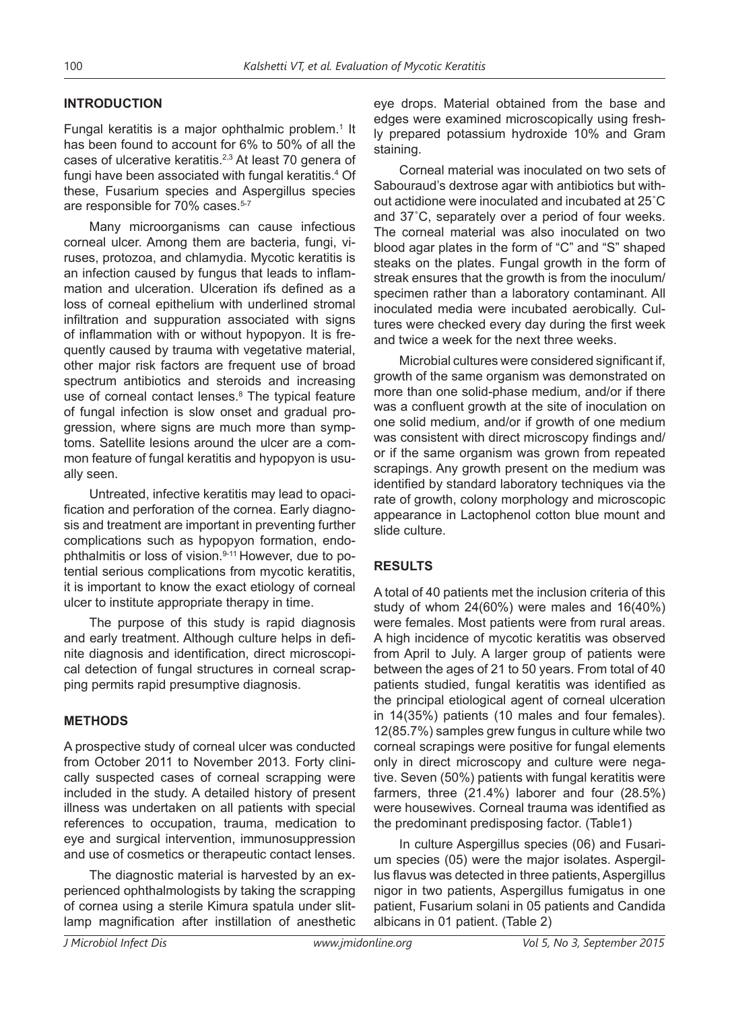#### **INTRODUCTION**

Fungal keratitis is a major ophthalmic problem.<sup>1</sup> It has been found to account for 6% to 50% of all the cases of ulcerative keratitis.2,3 At least 70 genera of fungi have been associated with fungal keratitis.4 Of these, Fusarium species and Aspergillus species are responsible for 70% cases.<sup>5-7</sup>

Many microorganisms can cause infectious corneal ulcer. Among them are bacteria, fungi, viruses, protozoa, and chlamydia. Mycotic keratitis is an infection caused by fungus that leads to inflammation and ulceration. Ulceration ifs defined as a loss of corneal epithelium with underlined stromal infiltration and suppuration associated with signs of inflammation with or without hypopyon. It is frequently caused by trauma with vegetative material, other major risk factors are frequent use of broad spectrum antibiotics and steroids and increasing use of corneal contact lenses.<sup>8</sup> The typical feature of fungal infection is slow onset and gradual progression, where signs are much more than symptoms. Satellite lesions around the ulcer are a common feature of fungal keratitis and hypopyon is usually seen.

Untreated, infective keratitis may lead to opacification and perforation of the cornea. Early diagnosis and treatment are important in preventing further complications such as hypopyon formation, endophthalmitis or loss of vision.9-11 However, due to potential serious complications from mycotic keratitis, it is important to know the exact etiology of corneal ulcer to institute appropriate therapy in time.

The purpose of this study is rapid diagnosis and early treatment. Although culture helps in definite diagnosis and identification, direct microscopical detection of fungal structures in corneal scrapping permits rapid presumptive diagnosis.

#### **METHODS**

A prospective study of corneal ulcer was conducted from October 2011 to November 2013. Forty clinically suspected cases of corneal scrapping were included in the study. A detailed history of present illness was undertaken on all patients with special references to occupation, trauma, medication to eye and surgical intervention, immunosuppression and use of cosmetics or therapeutic contact lenses.

The diagnostic material is harvested by an experienced ophthalmologists by taking the scrapping of cornea using a sterile Kimura spatula under slitlamp magnification after instillation of anesthetic eye drops. Material obtained from the base and edges were examined microscopically using freshly prepared potassium hydroxide 10% and Gram staining.

Corneal material was inoculated on two sets of Sabouraud's dextrose agar with antibiotics but without actidione were inoculated and incubated at 25˚C and 37˚C, separately over a period of four weeks. The corneal material was also inoculated on two blood agar plates in the form of "C" and "S" shaped steaks on the plates. Fungal growth in the form of streak ensures that the growth is from the inoculum/ specimen rather than a laboratory contaminant. All inoculated media were incubated aerobically. Cultures were checked every day during the first week and twice a week for the next three weeks.

Microbial cultures were considered significant if, growth of the same organism was demonstrated on more than one solid-phase medium, and/or if there was a confluent growth at the site of inoculation on one solid medium, and/or if growth of one medium was consistent with direct microscopy findings and/ or if the same organism was grown from repeated scrapings. Any growth present on the medium was identified by standard laboratory techniques via the rate of growth, colony morphology and microscopic appearance in Lactophenol cotton blue mount and slide culture.

#### **RESULTS**

A total of 40 patients met the inclusion criteria of this study of whom 24(60%) were males and 16(40%) were females. Most patients were from rural areas. A high incidence of mycotic keratitis was observed from April to July. A larger group of patients were between the ages of 21 to 50 years. From total of 40 patients studied, fungal keratitis was identified as the principal etiological agent of corneal ulceration in 14(35%) patients (10 males and four females). 12(85.7%) samples grew fungus in culture while two corneal scrapings were positive for fungal elements only in direct microscopy and culture were negative. Seven (50%) patients with fungal keratitis were farmers, three (21.4%) laborer and four (28.5%) were housewives. Corneal trauma was identified as the predominant predisposing factor. (Table1)

In culture Aspergillus species (06) and Fusarium species (05) were the major isolates. Aspergillus flavus was detected in three patients, Aspergillus nigor in two patients, Aspergillus fumigatus in one patient, Fusarium solani in 05 patients and Candida albicans in 01 patient. (Table 2)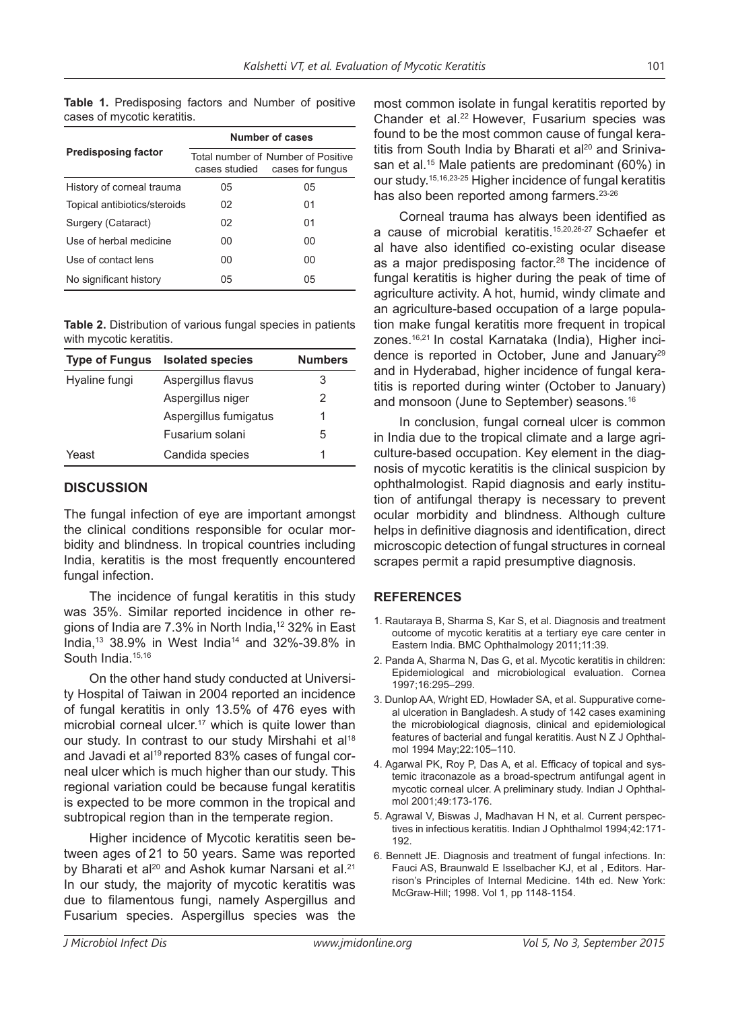**Table 1.** Predisposing factors and Number of positive cases of mycotic keratitis.

|                              | Number of cases |                                                        |  |
|------------------------------|-----------------|--------------------------------------------------------|--|
| <b>Predisposing factor</b>   | cases studied   | Total number of Number of Positive<br>cases for fungus |  |
| History of corneal trauma    | 05              | 05                                                     |  |
| Topical antibiotics/steroids | 02              | 01                                                     |  |
| Surgery (Cataract)           | 02              | 01                                                     |  |
| Use of herbal medicine       | ΩO              | 00                                                     |  |
| Use of contact lens          | 00              | 00                                                     |  |
| No significant history       | 05              | 05                                                     |  |

**Table 2.** Distribution of various fungal species in patients with mycotic keratitis.

| <b>Type of Fungus</b> | <b>Isolated species</b> | <b>Numbers</b> |
|-----------------------|-------------------------|----------------|
| Hyaline fungi         | Aspergillus flavus      | 3              |
|                       | Aspergillus niger       | 2              |
|                       | Aspergillus fumigatus   | 1              |
|                       | Fusarium solani         | 5              |
| Yeast                 | Candida species         | 1              |

### **DISCUSSION**

The fungal infection of eye are important amongst the clinical conditions responsible for ocular morbidity and blindness. In tropical countries including India, keratitis is the most frequently encountered fungal infection.

The incidence of fungal keratitis in this study was 35%. Similar reported incidence in other regions of India are 7.3% in North India,<sup>12</sup> 32% in East India,13 38.9% in West India14 and 32%-39.8% in South India.<sup>15,16</sup>

On the other hand study conducted at University Hospital of Taiwan in 2004 reported an incidence of fungal keratitis in only 13.5% of 476 eyes with microbial corneal ulcer.<sup>17</sup> which is quite lower than our study. In contrast to our study Mirshahi et al<sup>18</sup> and Javadi et al<sup>19</sup> reported 83% cases of fungal corneal ulcer which is much higher than our study. This regional variation could be because fungal keratitis is expected to be more common in the tropical and subtropical region than in the temperate region.

Higher incidence of Mycotic keratitis seen between ages of 21 to 50 years. Same was reported by Bharati et al<sup>20</sup> and Ashok kumar Narsani et al.<sup>21</sup> In our study, the majority of mycotic keratitis was due to filamentous fungi, namely Aspergillus and Fusarium species. Aspergillus species was the

most common isolate in fungal keratitis reported by Chander et al.<sup>22</sup> However, Fusarium species was found to be the most common cause of fungal keratitis from South India by Bharati et al<sup>20</sup> and Srinivasan et al.<sup>15</sup> Male patients are predominant (60%) in our study.15,16,23-25 Higher incidence of fungal keratitis has also been reported among farmers.<sup>23-26</sup>

Corneal trauma has always been identified as a cause of microbial keratitis.15,20,26-27 Schaefer et al have also identified co-existing ocular disease as a major predisposing factor.<sup>28</sup> The incidence of fungal keratitis is higher during the peak of time of agriculture activity. A hot, humid, windy climate and an agriculture-based occupation of a large population make fungal keratitis more frequent in tropical zones.16,21 In costal Karnataka (India), Higher incidence is reported in October, June and January<sup>29</sup> and in Hyderabad, higher incidence of fungal keratitis is reported during winter (October to January) and monsoon (June to September) seasons.<sup>16</sup>

In conclusion, fungal corneal ulcer is common in India due to the tropical climate and a large agriculture-based occupation. Key element in the diagnosis of mycotic keratitis is the clinical suspicion by ophthalmologist. Rapid diagnosis and early institution of antifungal therapy is necessary to prevent ocular morbidity and blindness. Although culture helps in definitive diagnosis and identification, direct microscopic detection of fungal structures in corneal scrapes permit a rapid presumptive diagnosis.

## **REFERENCES**

- 1. Rautaraya B, Sharma S, Kar S, et al. Diagnosis and treatment outcome of mycotic keratitis at a tertiary eye care center in Eastern India. BMC Ophthalmology 2011;11:39.
- 2. Panda A, Sharma N, Das G, et al. Mycotic keratitis in children: Epidemiological and microbiological evaluation. Cornea 1997;16:295–299.
- 3. Dunlop AA, Wright ED, Howlader SA, et al. Suppurative corneal ulceration in Bangladesh. A study of 142 cases examining the microbiological diagnosis, clinical and epidemiological features of bacterial and fungal keratitis. Aust N Z J Ophthalmol 1994 May;22:105–110.
- 4. Agarwal PK, Roy P, Das A, et al. Efficacy of topical and systemic itraconazole as a broad-spectrum antifungal agent in mycotic corneal ulcer. A preliminary study. Indian J Ophthalmol 2001;49:173-176.
- 5. Agrawal V, Biswas J, Madhavan H N, et al. Current perspectives in infectious keratitis. Indian J Ophthalmol 1994;42:171- 192.
- 6. Bennett JE. Diagnosis and treatment of fungal infections. In: Fauci AS, Braunwald E Isselbacher KJ, et al , Editors. Harrison's Principles of Internal Medicine. 14th ed. New York: McGraw-Hill; 1998. Vol 1, pp 1148-1154.